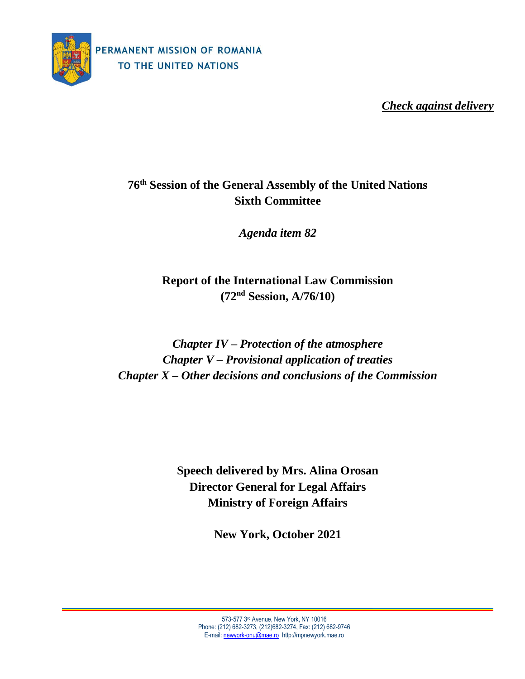

*Check against delivery*

# **76 th Session of the General Assembly of the United Nations Sixth Committee**

*Agenda item 82*

**Report of the International Law Commission (72 nd Session, A/76/10)**

*Chapter IV – Protection of the atmosphere Chapter V – Provisional application of treaties Chapter X – Other decisions and conclusions of the Commission*

> **Speech delivered by Mrs. Alina Orosan Director General for Legal Affairs Ministry of Foreign Affairs**

> > **New York, October 2021**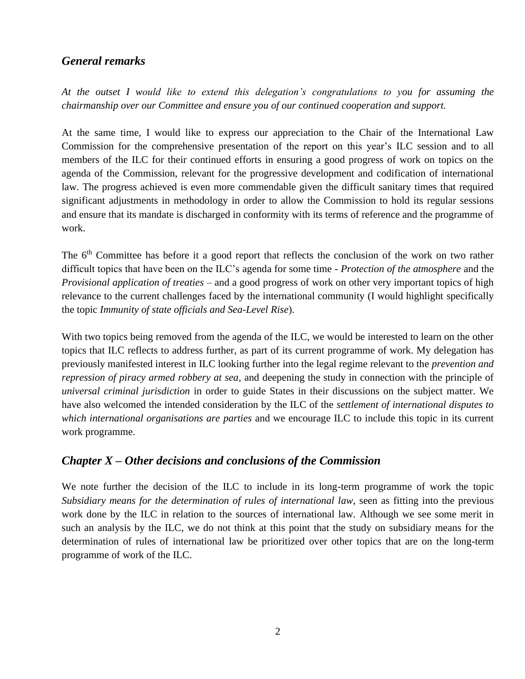### *General remarks*

*At the outset I would like to extend this delegation's congratulations to you for assuming the chairmanship over our Committee and ensure you of our continued cooperation and support.*

At the same time, I would like to express our appreciation to the Chair of the International Law Commission for the comprehensive presentation of the report on this year's ILC session and to all members of the ILC for their continued efforts in ensuring a good progress of work on topics on the agenda of the Commission, relevant for the progressive development and codification of international law. The progress achieved is even more commendable given the difficult sanitary times that required significant adjustments in methodology in order to allow the Commission to hold its regular sessions and ensure that its mandate is discharged in conformity with its terms of reference and the programme of work.

The 6<sup>th</sup> Committee has before it a good report that reflects the conclusion of the work on two rather difficult topics that have been on the ILC's agenda for some time - *Protection of the atmosphere* and the *Provisional application of treaties* – and a good progress of work on other very important topics of high relevance to the current challenges faced by the international community (I would highlight specifically the topic *Immunity of state officials and Sea-Level Rise*).

With two topics being removed from the agenda of the ILC, we would be interested to learn on the other topics that ILC reflects to address further, as part of its current programme of work. My delegation has previously manifested interest in ILC looking further into the legal regime relevant to the *prevention and repression of piracy armed robbery at sea*, and deepening the study in connection with the principle of *universal criminal jurisdiction* in order to guide States in their discussions on the subject matter. We have also welcomed the intended consideration by the ILC of the *settlement of international disputes to which international organisations are parties* and we encourage ILC to include this topic in its current work programme.

### *Chapter X – Other decisions and conclusions of the Commission*

We note further the decision of the ILC to include in its long-term programme of work the topic *Subsidiary means for the determination of rules of international law*, seen as fitting into the previous work done by the ILC in relation to the sources of international law. Although we see some merit in such an analysis by the ILC, we do not think at this point that the study on subsidiary means for the determination of rules of international law be prioritized over other topics that are on the long-term programme of work of the ILC.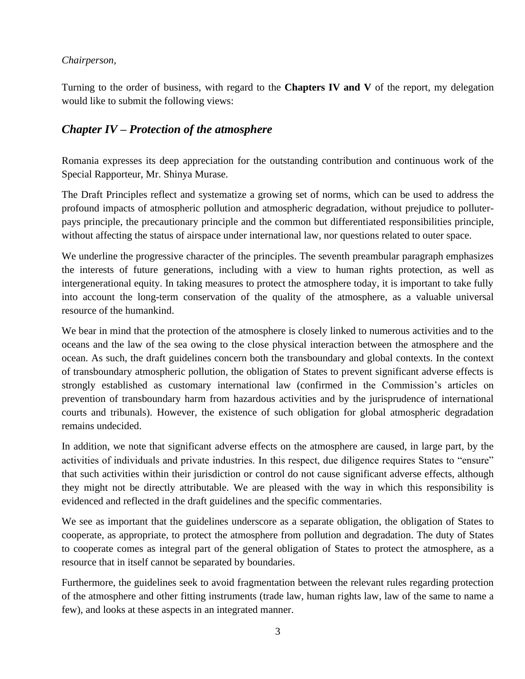#### *Chairperson,*

Turning to the order of business, with regard to the **Chapters IV and V** of the report, my delegation would like to submit the following views:

## *Chapter IV – Protection of the atmosphere*

Romania expresses its deep appreciation for the outstanding contribution and continuous work of the Special Rapporteur, Mr. Shinya Murase.

The Draft Principles reflect and systematize a growing set of norms, which can be used to address the profound impacts of atmospheric pollution and atmospheric degradation, without prejudice to polluterpays principle, the precautionary principle and the common but differentiated responsibilities principle, without affecting the status of airspace under international law, nor questions related to outer space.

We underline the progressive character of the principles. The seventh preambular paragraph emphasizes the interests of future generations, including with a view to human rights protection, as well as intergenerational equity. In taking measures to protect the atmosphere today, it is important to take fully into account the long-term conservation of the quality of the atmosphere, as a valuable universal resource of the humankind.

We bear in mind that the protection of the atmosphere is closely linked to numerous activities and to the oceans and the law of the sea owing to the close physical interaction between the atmosphere and the ocean. As such, the draft guidelines concern both the transboundary and global contexts. In the context of transboundary atmospheric pollution, the obligation of States to prevent significant adverse effects is strongly established as customary international law (confirmed in the Commission's articles on prevention of transboundary harm from hazardous activities and by the jurisprudence of international courts and tribunals). However, the existence of such obligation for global atmospheric degradation remains undecided.

In addition, we note that significant adverse effects on the atmosphere are caused, in large part, by the activities of individuals and private industries. In this respect, due diligence requires States to "ensure" that such activities within their jurisdiction or control do not cause significant adverse effects, although they might not be directly attributable. We are pleased with the way in which this responsibility is evidenced and reflected in the draft guidelines and the specific commentaries.

We see as important that the guidelines underscore as a separate obligation, the obligation of States to cooperate, as appropriate, to protect the atmosphere from pollution and degradation. The duty of States to cooperate comes as integral part of the general obligation of States to protect the atmosphere, as a resource that in itself cannot be separated by boundaries.

Furthermore, the guidelines seek to avoid fragmentation between the relevant rules regarding protection of the atmosphere and other fitting instruments (trade law, human rights law, law of the same to name a few), and looks at these aspects in an integrated manner.